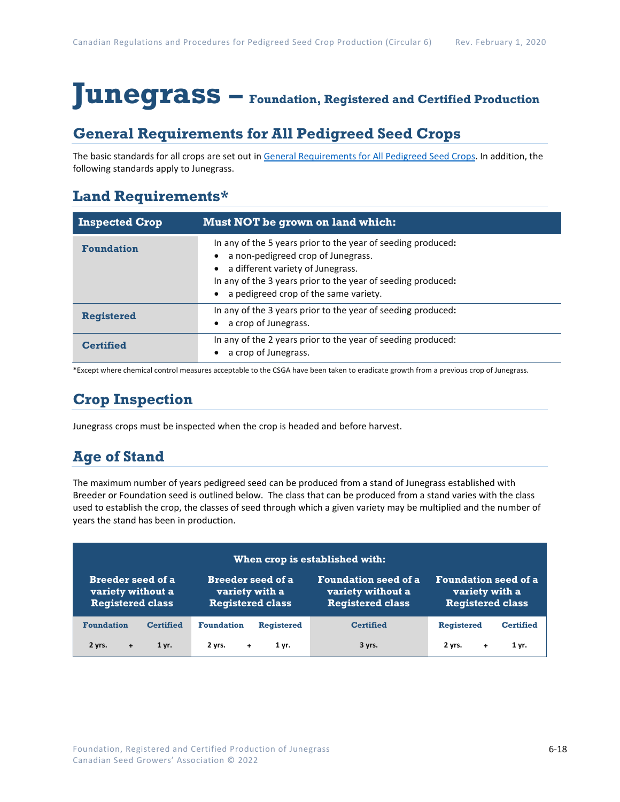# **Junegrass – Foundation, Registered and Certified Production**

### **General Requirements for All Pedigreed Seed Crops**

The basic standards for all crops are set out i[n General Requirements for All Pedigreed Seed](https://seedgrowers.ca/wp-content/uploads/2020/01/GENERAL-REQUIREMENTS-ALL-CROPS_EN.pdf) Crops. In addition, the following standards apply to Junegrass.

### **Land Requirements\***

| <b>Inspected Crop</b> | Must NOT be grown on land which:                                                                                                                                                                                                                 |
|-----------------------|--------------------------------------------------------------------------------------------------------------------------------------------------------------------------------------------------------------------------------------------------|
| <b>Foundation</b>     | In any of the 5 years prior to the year of seeding produced:<br>a non-pedigreed crop of Junegrass.<br>a different variety of Junegrass.<br>In any of the 3 years prior to the year of seeding produced:<br>a pedigreed crop of the same variety. |
| <b>Registered</b>     | In any of the 3 years prior to the year of seeding produced:<br>a crop of Junegrass.                                                                                                                                                             |
| <b>Certified</b>      | In any of the 2 years prior to the year of seeding produced:<br>a crop of Junegrass.                                                                                                                                                             |

\*Except where chemical control measures acceptable to the CSGA have been taken to eradicate growth from a previous crop of Junegrass.

## **Crop Inspection**

Junegrass crops must be inspected when the crop is headed and before harvest.

## **Age of Stand**

The maximum number of years pedigreed seed can be produced from a stand of Junegrass established with Breeder or Foundation seed is outlined below. The class that can be produced from a stand varies with the class used to establish the crop, the classes of seed through which a given variety may be multiplied and the number of years the stand has been in production.

| When crop is established with: |                          |                             |                             |  |
|--------------------------------|--------------------------|-----------------------------|-----------------------------|--|
| <b>Breeder seed of a</b>       | <b>Breeder seed of a</b> | <b>Foundation seed of a</b> | <b>Foundation seed of a</b> |  |
| variety without a              | variety with a           | variety without a           | variety with a              |  |
| <b>Registered class</b>        | <b>Registered class</b>  | <b>Registered class</b>     | <b>Registered class</b>     |  |
| <b>Foundation</b>              | <b>Foundation</b>        | <b>Certified</b>            | <b>Registered</b>           |  |
| <b>Certified</b>               | <b>Registered</b>        |                             | <b>Certified</b>            |  |
| 2 yrs.                         | 2 vrs.                   | 3 yrs.                      | 2 yrs.                      |  |
| 1 yr.                          | 1 yr.                    |                             | 1 yr.                       |  |
| $+$                            | $+$                      |                             | ÷                           |  |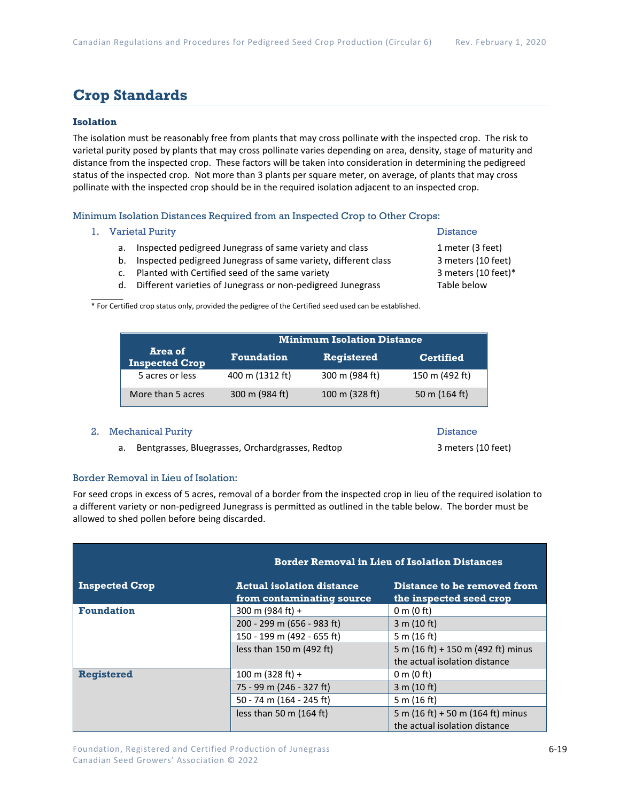### **Crop Standards**

### **Isolation**

The isolation must be reasonably free from plants that may cross pollinate with the inspected crop. The risk to varietal purity posed by plants that may cross pollinate varies depending on area, density, stage of maturity and distance from the inspected crop. These factors will be taken into consideration in determining the pedigreed status of the inspected crop. Not more than 3 plants per square meter, on average, of plants that may cross pollinate with the inspected crop should be in the required isolation adjacent to an inspected crop.

Minimum Isolation Distances Required from an Inspected Crop to Other Crops:

1. Varietal Purity **Distance** 

 $\mathcal{L}$ 

- a. Inspected pedigreed Junegrass of same variety and class 1 meter (3 feet)
- b. Inspected pedigreed Junegrass of same variety, different class 3 meters (10 feet)
- c. Planted with Certified seed of the same variety 3 meters (10 feet)\*
- d. Different varieties of Junegrass or non-pedigreed Junegrass Table below

\* For Certified crop status only, provided the pedigree of the Certified seed used can be established.

|                                  | <b>Minimum Isolation Distance</b> |                   |                  |
|----------------------------------|-----------------------------------|-------------------|------------------|
| Area of<br><b>Inspected Crop</b> | <b>Foundation</b>                 | <b>Registered</b> | <b>Certified</b> |
| 5 acres or less                  | 400 m (1312 ft)                   | 300 m (984 ft)    | 150 m (492 ft)   |
| More than 5 acres                | 300 m (984 ft)                    | 100 m (328 ft)    | 50 m (164 ft)    |

#### 2. Mechanical Purity **Distance** Distance

a. Bentgrasses, Bluegrasses, Orchardgrasses, Redtop 3 meters (10 feet)

#### Border Removal in Lieu of Isolation:

For seed crops in excess of 5 acres, removal of a border from the inspected crop in lieu of the required isolation to a different variety or non-pedigreed Junegrass is permitted as outlined in the table below. The border must be allowed to shed pollen before being discarded.

|                       | <b>Border Removal in Lieu of Isolation Distances</b>          |                                                                    |  |  |
|-----------------------|---------------------------------------------------------------|--------------------------------------------------------------------|--|--|
| <b>Inspected Crop</b> | <b>Actual isolation distance</b><br>from contaminating source | Distance to be removed from<br>the inspected seed crop             |  |  |
| <b>Foundation</b>     | 300 m (984 ft) +                                              | $0 \text{ m}$ (0 ft)                                               |  |  |
|                       | 200 - 299 m (656 - 983 ft)                                    | 3 m (10 ft)                                                        |  |  |
|                       | 150 - 199 m (492 - 655 ft)                                    | 5 m $(16 ft)$                                                      |  |  |
|                       | less than 150 m (492 ft)                                      | 5 m (16 ft) + 150 m (492 ft) minus                                 |  |  |
|                       |                                                               | the actual isolation distance                                      |  |  |
| <b>Registered</b>     | 100 m (328 ft) +                                              | $0 \text{ m}$ (0 ft)                                               |  |  |
|                       | 75 - 99 m (246 - 327 ft)                                      | 3 m (10 ft)                                                        |  |  |
|                       | 50 - 74 m (164 - 245 ft)                                      | 5 m (16 ft)                                                        |  |  |
|                       | less than 50 m $(164 ft)$                                     | 5 m (16 ft) + 50 m (164 ft) minus<br>the actual isolation distance |  |  |